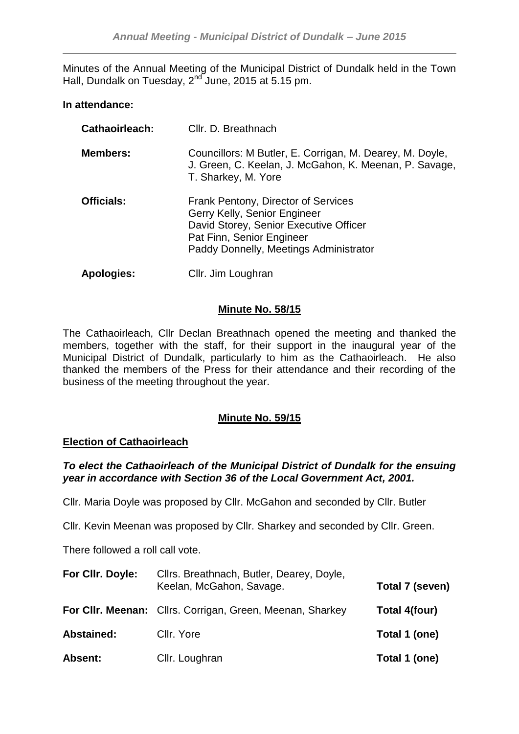Minutes of the Annual Meeting of the Municipal District of Dundalk held in the Town Hall, Dundalk on Tuesday, 2<sup>nd</sup> June, 2015 at 5.15 pm.

## **In attendance:**

| Cathaoirleach:    | Cllr. D. Breathnach                                                                                                                                                                  |
|-------------------|--------------------------------------------------------------------------------------------------------------------------------------------------------------------------------------|
| <b>Members:</b>   | Councillors: M Butler, E. Corrigan, M. Dearey, M. Doyle,<br>J. Green, C. Keelan, J. McGahon, K. Meenan, P. Savage,<br>T. Sharkey, M. Yore                                            |
| <b>Officials:</b> | Frank Pentony, Director of Services<br>Gerry Kelly, Senior Engineer<br>David Storey, Senior Executive Officer<br>Pat Finn, Senior Engineer<br>Paddy Donnelly, Meetings Administrator |
| <b>Apologies:</b> | Cllr. Jim Loughran                                                                                                                                                                   |

## **Minute No. 58/15**

The Cathaoirleach, Cllr Declan Breathnach opened the meeting and thanked the members, together with the staff, for their support in the inaugural year of the Municipal District of Dundalk, particularly to him as the Cathaoirleach. He also thanked the members of the Press for their attendance and their recording of the business of the meeting throughout the year.

## **Minute No. 59/15**

## **Election of Cathaoirleach**

## *To elect the Cathaoirleach of the Municipal District of Dundalk for the ensuing year in accordance with Section 36 of the Local Government Act, 2001.*

Cllr. Maria Doyle was proposed by Cllr. McGahon and seconded by Cllr. Butler

Cllr. Kevin Meenan was proposed by Cllr. Sharkey and seconded by Cllr. Green.

There followed a roll call vote.

| For Cllr. Doyle:  | Cllrs. Breathnach, Butler, Dearey, Doyle,<br>Keelan, McGahon, Savage. | Total 7 (seven) |
|-------------------|-----------------------------------------------------------------------|-----------------|
|                   | For CIIr. Meenan: Clirs. Corrigan, Green, Meenan, Sharkey             | Total 4(four)   |
| <b>Abstained:</b> | Cllr. Yore                                                            | Total 1 (one)   |
| <b>Absent:</b>    | Cllr. Loughran                                                        | Total 1 (one)   |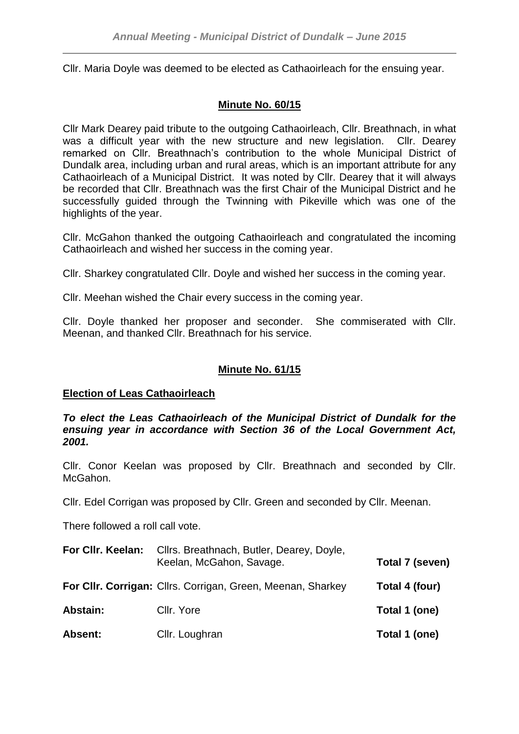Cllr. Maria Doyle was deemed to be elected as Cathaoirleach for the ensuing year.

# **Minute No. 60/15**

Cllr Mark Dearey paid tribute to the outgoing Cathaoirleach, Cllr. Breathnach, in what was a difficult year with the new structure and new legislation. Cllr. Dearey remarked on Cllr. Breathnach's contribution to the whole Municipal District of Dundalk area, including urban and rural areas, which is an important attribute for any Cathaoirleach of a Municipal District. It was noted by Cllr. Dearey that it will always be recorded that Cllr. Breathnach was the first Chair of the Municipal District and he successfully guided through the Twinning with Pikeville which was one of the highlights of the year.

Cllr. McGahon thanked the outgoing Cathaoirleach and congratulated the incoming Cathaoirleach and wished her success in the coming year.

Cllr. Sharkey congratulated Cllr. Doyle and wished her success in the coming year.

Cllr. Meehan wished the Chair every success in the coming year.

Cllr. Doyle thanked her proposer and seconder. She commiserated with Cllr. Meenan, and thanked Cllr. Breathnach for his service.

## **Minute No. 61/15**

### **Election of Leas Cathaoirleach**

*To elect the Leas Cathaoirleach of the Municipal District of Dundalk for the ensuing year in accordance with Section 36 of the Local Government Act, 2001.*

Cllr. Conor Keelan was proposed by Cllr. Breathnach and seconded by Cllr. McGahon.

Cllr. Edel Corrigan was proposed by Cllr. Green and seconded by Cllr. Meenan.

There followed a roll call vote.

| For CIIr. Keelan: | Cllrs. Breathnach, Butler, Dearey, Doyle,<br>Keelan, McGahon, Savage. | Total 7 (seven) |
|-------------------|-----------------------------------------------------------------------|-----------------|
|                   | For Cllr. Corrigan: Cllrs. Corrigan, Green, Meenan, Sharkey           | Total 4 (four)  |
| Abstain:          | Cllr. Yore                                                            | Total 1 (one)   |
| <b>Absent:</b>    | Cllr. Loughran                                                        | Total 1 (one)   |